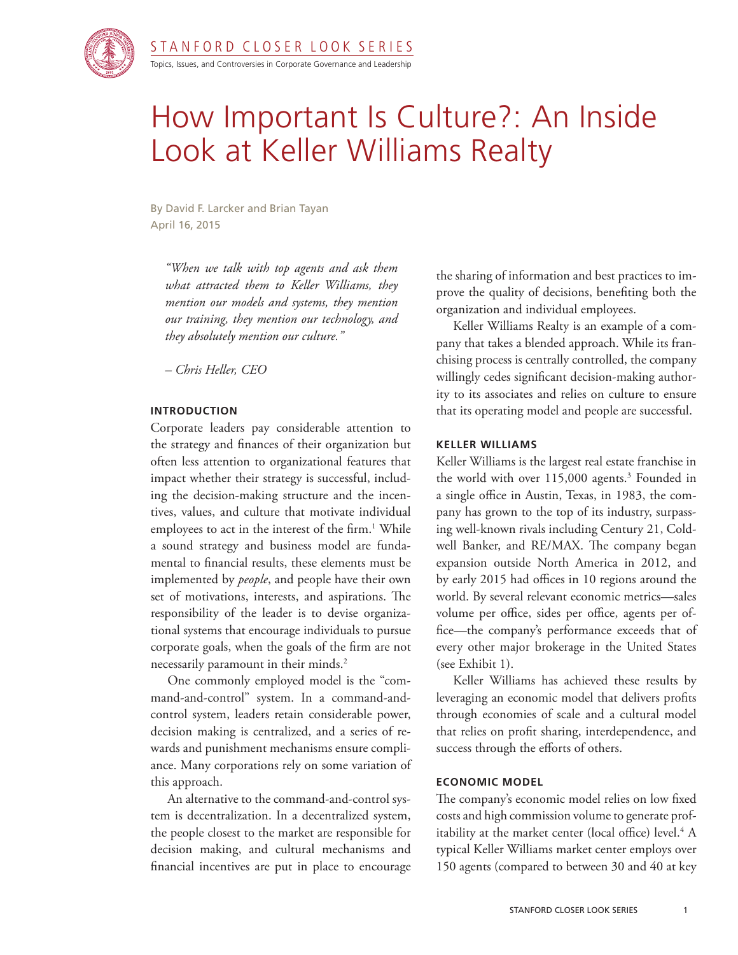

# How Important Is Culture?: An Inside Look at Keller Williams Realty

By David F. Larcker and Brian Tayan April 16, 2015

*"When we talk with top agents and ask them what attracted them to Keller Williams, they mention our models and systems, they mention our training, they mention our technology, and they absolutely mention our culture."* 

*– Chris Heller, CEO*

## **introduction**

Corporate leaders pay considerable attention to the strategy and finances of their organization but often less attention to organizational features that impact whether their strategy is successful, including the decision-making structure and the incentives, values, and culture that motivate individual employees to act in the interest of the firm.<sup>1</sup> While a sound strategy and business model are fundamental to financial results, these elements must be implemented by *people*, and people have their own set of motivations, interests, and aspirations. The responsibility of the leader is to devise organizational systems that encourage individuals to pursue corporate goals, when the goals of the firm are not necessarily paramount in their minds.<sup>2</sup>

One commonly employed model is the "command-and-control" system. In a command-andcontrol system, leaders retain considerable power, decision making is centralized, and a series of rewards and punishment mechanisms ensure compliance. Many corporations rely on some variation of this approach.

An alternative to the command-and-control system is decentralization. In a decentralized system, the people closest to the market are responsible for decision making, and cultural mechanisms and financial incentives are put in place to encourage

the sharing of information and best practices to improve the quality of decisions, benefiting both the organization and individual employees.

Keller Williams Realty is an example of a company that takes a blended approach. While its franchising process is centrally controlled, the company willingly cedes significant decision-making authority to its associates and relies on culture to ensure that its operating model and people are successful.

### **Keller Williams**

Keller Williams is the largest real estate franchise in the world with over 115,000 agents.<sup>3</sup> Founded in a single office in Austin, Texas, in 1983, the company has grown to the top of its industry, surpassing well-known rivals including Century 21, Coldwell Banker, and RE/MAX. The company began expansion outside North America in 2012, and by early 2015 had offices in 10 regions around the world. By several relevant economic metrics—sales volume per office, sides per office, agents per office—the company's performance exceeds that of every other major brokerage in the United States (see Exhibit 1).

Keller Williams has achieved these results by leveraging an economic model that delivers profits through economies of scale and a cultural model that relies on profit sharing, interdependence, and success through the efforts of others.

# **economic model**

The company's economic model relies on low fixed costs and high commission volume to generate profitability at the market center (local office) level.<sup>4</sup> A typical Keller Williams market center employs over 150 agents (compared to between 30 and 40 at key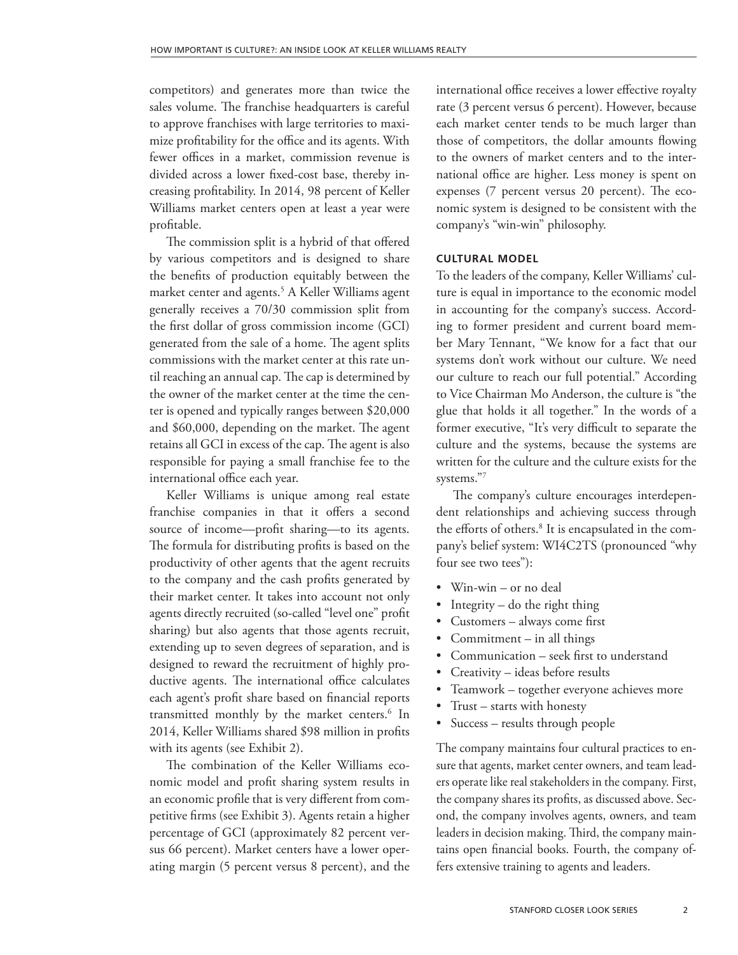competitors) and generates more than twice the sales volume. The franchise headquarters is careful to approve franchises with large territories to maximize profitability for the office and its agents. With fewer offices in a market, commission revenue is divided across a lower fixed-cost base, thereby increasing profitability. In 2014, 98 percent of Keller Williams market centers open at least a year were profitable.

The commission split is a hybrid of that offered by various competitors and is designed to share the benefits of production equitably between the market center and agents.<sup>5</sup> A Keller Williams agent generally receives a 70/30 commission split from the first dollar of gross commission income (GCI) generated from the sale of a home. The agent splits commissions with the market center at this rate until reaching an annual cap. The cap is determined by the owner of the market center at the time the center is opened and typically ranges between \$20,000 and \$60,000, depending on the market. The agent retains all GCI in excess of the cap. The agent is also responsible for paying a small franchise fee to the international office each year.

Keller Williams is unique among real estate franchise companies in that it offers a second source of income—profit sharing—to its agents. The formula for distributing profits is based on the productivity of other agents that the agent recruits to the company and the cash profits generated by their market center. It takes into account not only agents directly recruited (so-called "level one" profit sharing) but also agents that those agents recruit, extending up to seven degrees of separation, and is designed to reward the recruitment of highly productive agents. The international office calculates each agent's profit share based on financial reports transmitted monthly by the market centers.<sup>6</sup> In 2014, Keller Williams shared \$98 million in profits with its agents (see Exhibit 2).

The combination of the Keller Williams economic model and profit sharing system results in an economic profile that is very different from competitive firms (see Exhibit 3). Agents retain a higher percentage of GCI (approximately 82 percent versus 66 percent). Market centers have a lower operating margin (5 percent versus 8 percent), and the international office receives a lower effective royalty rate (3 percent versus 6 percent). However, because each market center tends to be much larger than those of competitors, the dollar amounts flowing to the owners of market centers and to the international office are higher. Less money is spent on expenses (7 percent versus 20 percent). The economic system is designed to be consistent with the company's "win-win" philosophy.

### **Cultural Model**

To the leaders of the company, Keller Williams' culture is equal in importance to the economic model in accounting for the company's success. According to former president and current board member Mary Tennant, "We know for a fact that our systems don't work without our culture. We need our culture to reach our full potential." According to Vice Chairman Mo Anderson, the culture is "the glue that holds it all together." In the words of a former executive, "It's very difficult to separate the culture and the systems, because the systems are written for the culture and the culture exists for the systems."7

The company's culture encourages interdependent relationships and achieving success through the efforts of others.<sup>8</sup> It is encapsulated in the company's belief system: WI4C2TS (pronounced "why four see two tees"):

- Win-win or no deal
- Integrity do the right thing
- • Customers always come first
- Commitment in all things
- Communication seek first to understand
- Creativity ideas before results
- Teamwork together everyone achieves more
- Trust starts with honesty
- Success results through people

The company maintains four cultural practices to ensure that agents, market center owners, and team leaders operate like real stakeholders in the company. First, the company shares its profits, as discussed above. Second, the company involves agents, owners, and team leaders in decision making. Third, the company maintains open financial books. Fourth, the company offers extensive training to agents and leaders.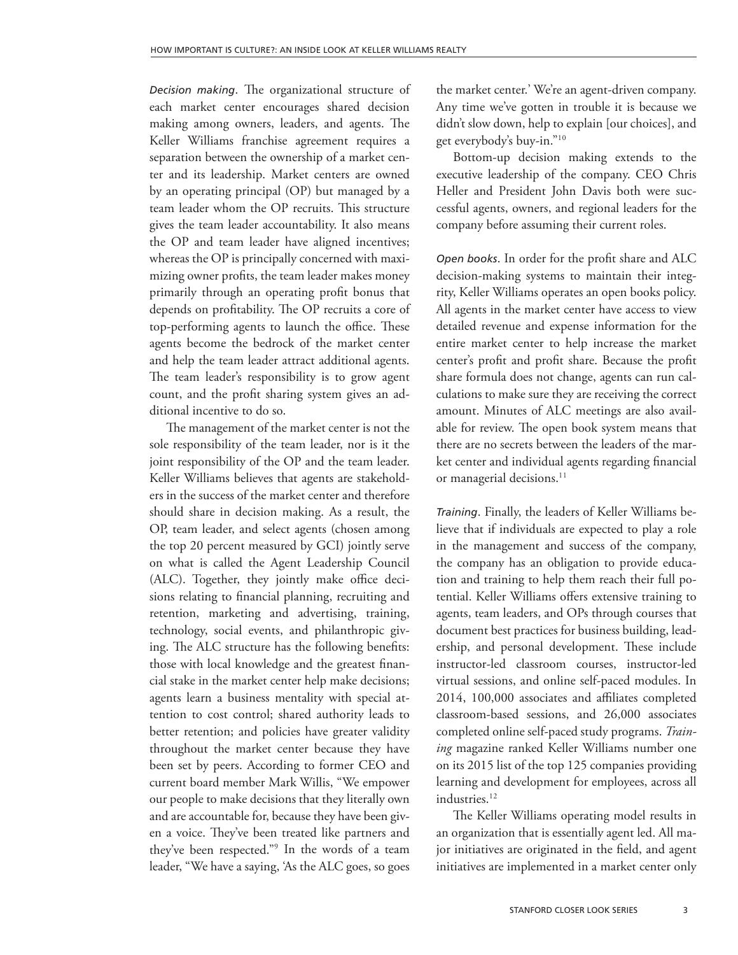*Decision making*. The organizational structure of each market center encourages shared decision making among owners, leaders, and agents. The Keller Williams franchise agreement requires a separation between the ownership of a market center and its leadership. Market centers are owned by an operating principal (OP) but managed by a team leader whom the OP recruits. This structure gives the team leader accountability. It also means the OP and team leader have aligned incentives; whereas the OP is principally concerned with maximizing owner profits, the team leader makes money primarily through an operating profit bonus that depends on profitability. The OP recruits a core of top-performing agents to launch the office. These agents become the bedrock of the market center and help the team leader attract additional agents. The team leader's responsibility is to grow agent count, and the profit sharing system gives an additional incentive to do so.

The management of the market center is not the sole responsibility of the team leader, nor is it the joint responsibility of the OP and the team leader. Keller Williams believes that agents are stakeholders in the success of the market center and therefore should share in decision making. As a result, the OP, team leader, and select agents (chosen among the top 20 percent measured by GCI) jointly serve on what is called the Agent Leadership Council (ALC). Together, they jointly make office decisions relating to financial planning, recruiting and retention, marketing and advertising, training, technology, social events, and philanthropic giving. The ALC structure has the following benefits: those with local knowledge and the greatest financial stake in the market center help make decisions; agents learn a business mentality with special attention to cost control; shared authority leads to better retention; and policies have greater validity throughout the market center because they have been set by peers. According to former CEO and current board member Mark Willis, "We empower our people to make decisions that they literally own and are accountable for, because they have been given a voice. They've been treated like partners and they've been respected."9 In the words of a team leader, "We have a saying, 'As the ALC goes, so goes

the market center.' We're an agent-driven company. Any time we've gotten in trouble it is because we didn't slow down, help to explain [our choices], and get everybody's buy-in."10

Bottom-up decision making extends to the executive leadership of the company. CEO Chris Heller and President John Davis both were successful agents, owners, and regional leaders for the company before assuming their current roles.

*Open books*. In order for the profit share and ALC decision-making systems to maintain their integrity, Keller Williams operates an open books policy. All agents in the market center have access to view detailed revenue and expense information for the entire market center to help increase the market center's profit and profit share. Because the profit share formula does not change, agents can run calculations to make sure they are receiving the correct amount. Minutes of ALC meetings are also available for review. The open book system means that there are no secrets between the leaders of the market center and individual agents regarding financial or managerial decisions.<sup>11</sup>

*Training*. Finally, the leaders of Keller Williams believe that if individuals are expected to play a role in the management and success of the company, the company has an obligation to provide education and training to help them reach their full potential. Keller Williams offers extensive training to agents, team leaders, and OPs through courses that document best practices for business building, leadership, and personal development. These include instructor-led classroom courses, instructor-led virtual sessions, and online self-paced modules. In 2014, 100,000 associates and affiliates completed classroom-based sessions, and 26,000 associates completed online self-paced study programs. *Training* magazine ranked Keller Williams number one on its 2015 list of the top 125 companies providing learning and development for employees, across all industries.<sup>12</sup>

The Keller Williams operating model results in an organization that is essentially agent led. All major initiatives are originated in the field, and agent initiatives are implemented in a market center only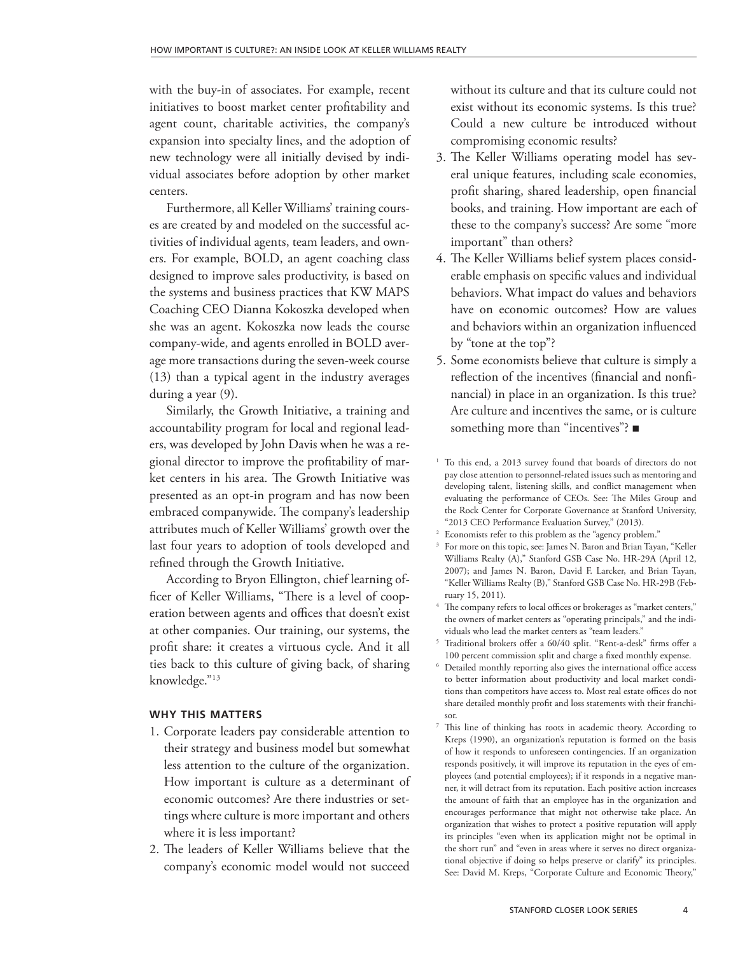with the buy-in of associates. For example, recent initiatives to boost market center profitability and agent count, charitable activities, the company's expansion into specialty lines, and the adoption of new technology were all initially devised by individual associates before adoption by other market centers.

Furthermore, all Keller Williams' training courses are created by and modeled on the successful activities of individual agents, team leaders, and owners. For example, BOLD, an agent coaching class designed to improve sales productivity, is based on the systems and business practices that KW MAPS Coaching CEO Dianna Kokoszka developed when she was an agent. Kokoszka now leads the course company-wide, and agents enrolled in BOLD average more transactions during the seven-week course (13) than a typical agent in the industry averages during a year (9).

Similarly, the Growth Initiative, a training and accountability program for local and regional leaders, was developed by John Davis when he was a regional director to improve the profitability of market centers in his area. The Growth Initiative was presented as an opt-in program and has now been embraced companywide. The company's leadership attributes much of Keller Williams' growth over the last four years to adoption of tools developed and refined through the Growth Initiative.

According to Bryon Ellington, chief learning officer of Keller Williams, "There is a level of cooperation between agents and offices that doesn't exist at other companies. Our training, our systems, the profit share: it creates a virtuous cycle. And it all ties back to this culture of giving back, of sharing knowledge."13

### **Why This Matters**

- 1. Corporate leaders pay considerable attention to their strategy and business model but somewhat less attention to the culture of the organization. How important is culture as a determinant of economic outcomes? Are there industries or settings where culture is more important and others where it is less important?
- 2. The leaders of Keller Williams believe that the company's economic model would not succeed

without its culture and that its culture could not exist without its economic systems. Is this true? Could a new culture be introduced without compromising economic results?

- 3. The Keller Williams operating model has several unique features, including scale economies, profit sharing, shared leadership, open financial books, and training. How important are each of these to the company's success? Are some "more important" than others?
- 4. The Keller Williams belief system places considerable emphasis on specific values and individual behaviors. What impact do values and behaviors have on economic outcomes? How are values and behaviors within an organization influenced by "tone at the top"?
- 5. Some economists believe that culture is simply a reflection of the incentives (financial and nonfinancial) in place in an organization. Is this true? Are culture and incentives the same, or is culture something more than "incentives"?
- <sup>1</sup> To this end, a 2013 survey found that boards of directors do not pay close attention to personnel-related issues such as mentoring and developing talent, listening skills, and conflict management when evaluating the performance of CEOs. See: The Miles Group and the Rock Center for Corporate Governance at Stanford University, "2013 CEO Performance Evaluation Survey," (2013).
- <sup>2</sup> Economists refer to this problem as the "agency problem."
- <sup>3</sup> For more on this topic, see: James N. Baron and Brian Tayan, "Keller Williams Realty (A)," Stanford GSB Case No. HR-29A (April 12, 2007); and James N. Baron, David F. Larcker, and Brian Tayan, "Keller Williams Realty (B)," Stanford GSB Case No. HR-29B (February 15, 2011).
- <sup>4</sup> The company refers to local offices or brokerages as "market centers," the owners of market centers as "operating principals," and the individuals who lead the market centers as "team leaders."
- <sup>5</sup> Traditional brokers offer a 60/40 split. "Rent-a-desk" firms offer a 100 percent commission split and charge a fixed monthly expense.
- <sup>6</sup> Detailed monthly reporting also gives the international office access to better information about productivity and local market conditions than competitors have access to. Most real estate offices do not share detailed monthly profit and loss statements with their franchisor.
- <sup>7</sup> This line of thinking has roots in academic theory. According to Kreps (1990), an organization's reputation is formed on the basis of how it responds to unforeseen contingencies. If an organization responds positively, it will improve its reputation in the eyes of employees (and potential employees); if it responds in a negative manner, it will detract from its reputation. Each positive action increases the amount of faith that an employee has in the organization and encourages performance that might not otherwise take place. An organization that wishes to protect a positive reputation will apply its principles "even when its application might not be optimal in the short run" and "even in areas where it serves no direct organizational objective if doing so helps preserve or clarify" its principles. See: David M. Kreps, "Corporate Culture and Economic Theory,"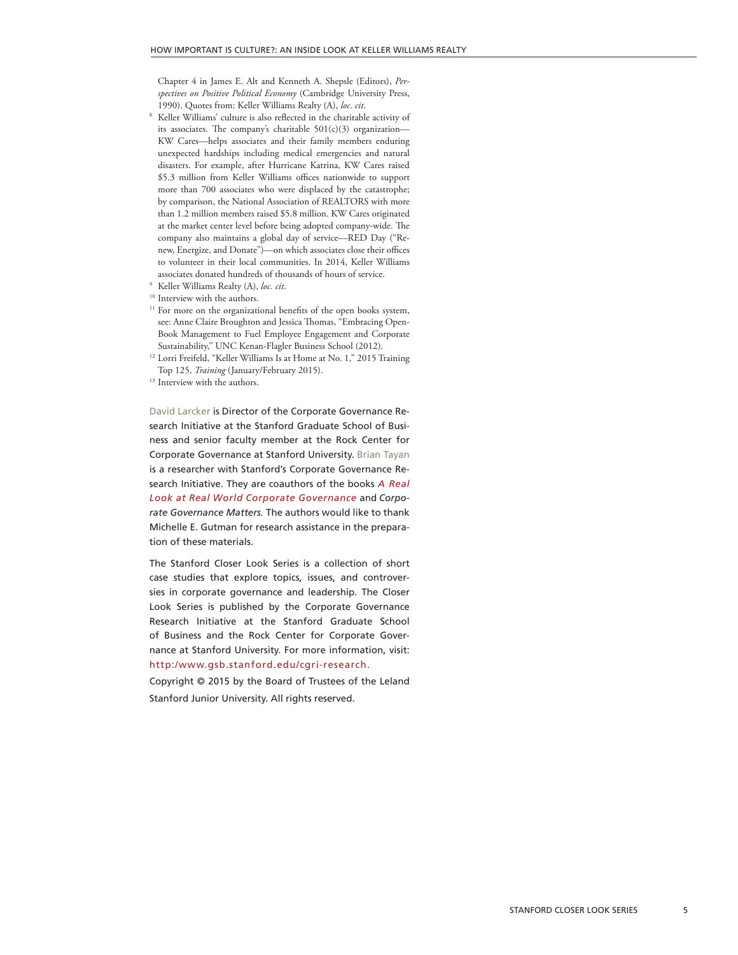Chapter 4 in James E. Alt and Kenneth A. Shepsle (Editors), *Perspectives on Positive Political Economy* (Cambridge University Press, 1990). Quotes from: Keller Williams Realty (A), *loc. cit*.

- <sup>8</sup> Keller Williams' culture is also reflected in the charitable activity of its associates. The company's charitable  $501(c)(3)$  organization— KW Cares—helps associates and their family members enduring unexpected hardships including medical emergencies and natural disasters. For example, after Hurricane Katrina, KW Cares raised \$5.3 million from Keller Williams offices nationwide to support more than 700 associates who were displaced by the catastrophe; by comparison, the National Association of REALTORS with more than 1.2 million members raised \$5.8 million. KW Cares originated at the market center level before being adopted company-wide. The company also maintains a global day of service—RED Day ("Renew, Energize, and Donate")—on which associates close their offices to volunteer in their local communities. In 2014, Keller Williams associates donated hundreds of thousands of hours of service.
- <sup>9</sup> Keller Williams Realty (A), *loc. cit*.
- <sup>10</sup> Interview with the authors.
- <sup>11</sup> For more on the organizational benefits of the open books system, see: Anne Claire Broughton and Jessica Thomas, "Embracing Open-Book Management to Fuel Employee Engagement and Corporate Sustainability," UNC Kenan-Flagler Business School (2012).
- <sup>12</sup> Lorri Freifeld, "Keller Williams Is at Home at No. 1," 2015 Training Top 125, *Training* (January/February 2015).
- <sup>13</sup> Interview with the authors.

David Larcker is Director of the Corporate Governance Research Initiative at the Stanford Graduate School of Business and senior faculty member at the Rock Center for Corporate Governance at Stanford University. Brian Tayan is a researcher with Stanford's Corporate Governance Research Initiative. They are coauthors of the books *[A Real](http://www.amazon.com/Real-World-Corporate-Governance-ebook/dp/B00DXQ0EC2/) [Look at Real World Corporate Governance](http://www.amazon.com/Real-World-Corporate-Governance-ebook/dp/B00DXQ0EC2/)* and *Corporate Governance Matters.* The authors would like to thank Michelle E. Gutman for research assistance in the preparation of these materials.

The Stanford Closer Look Series is a collection of short case studies that explore topics, issues, and controversies in corporate governance and leadership. The Closer Look Series is published by the Corporate Governance Research Initiative at the Stanford Graduate School of Business and the Rock Center for Corporate Governance at Stanford University. For more information, visit: http:/www.gsb.stanford.edu/cgri-research.

Copyright © 2015 by the Board of Trustees of the Leland Stanford Junior University. All rights reserved.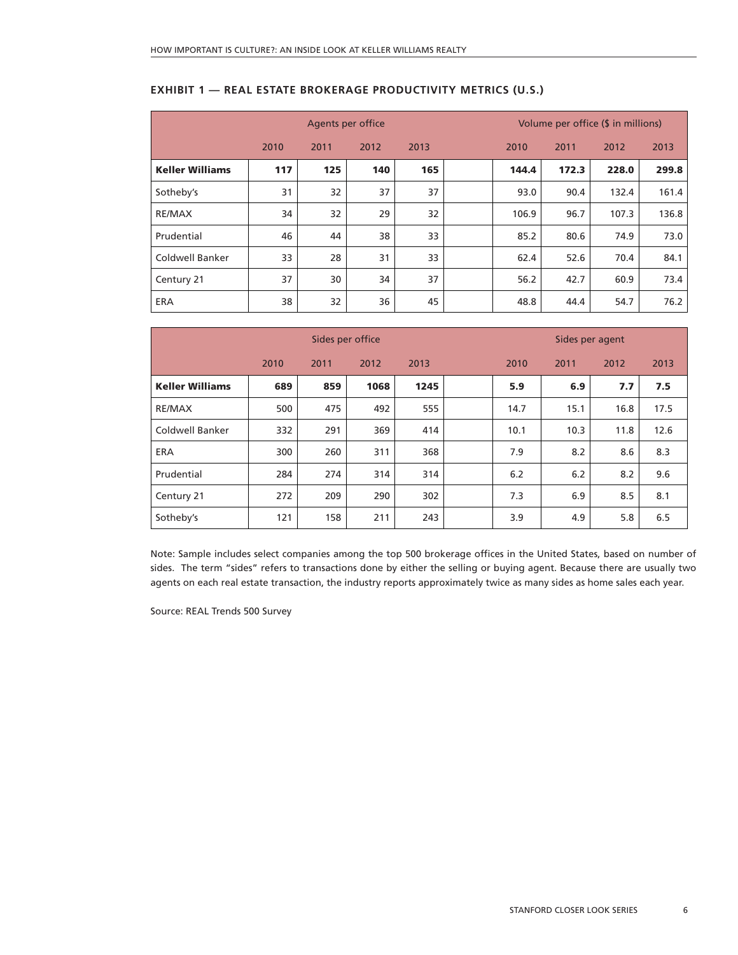## **Exhibit 1 — Real Estate Brokerage Productivity Metrics (U.S.)**

|                        | Agents per office |      |      |      |  | Volume per office (\$ in millions) |       |       |       |
|------------------------|-------------------|------|------|------|--|------------------------------------|-------|-------|-------|
|                        | 2010              | 2011 | 2012 | 2013 |  | 2010                               | 2011  | 2012  | 2013  |
| <b>Keller Williams</b> | 117               | 125  | 140  | 165  |  | 144.4                              | 172.3 | 228.0 | 299.8 |
| Sotheby's              | 31                | 32   | 37   | 37   |  | 93.0                               | 90.4  | 132.4 | 161.4 |
| RE/MAX                 | 34                | 32   | 29   | 32   |  | 106.9                              | 96.7  | 107.3 | 136.8 |
| Prudential             | 46                | 44   | 38   | 33   |  | 85.2                               | 80.6  | 74.9  | 73.0  |
| <b>Coldwell Banker</b> | 33                | 28   | 31   | 33   |  | 62.4                               | 52.6  | 70.4  | 84.1  |
| Century 21             | 37                | 30   | 34   | 37   |  | 56.2                               | 42.7  | 60.9  | 73.4  |
| ERA                    | 38                | 32   | 36   | 45   |  | 48.8                               | 44.4  | 54.7  | 76.2  |

|                        | Sides per office |      |      |      | Sides per agent |      |      |      |
|------------------------|------------------|------|------|------|-----------------|------|------|------|
|                        | 2010             | 2011 | 2012 | 2013 | 2010            | 2011 | 2012 | 2013 |
| <b>Keller Williams</b> | 689              | 859  | 1068 | 1245 | 5.9             | 6.9  | 7.7  | 7.5  |
| RE/MAX                 | 500              | 475  | 492  | 555  | 14.7            | 15.1 | 16.8 | 17.5 |
| Coldwell Banker        | 332              | 291  | 369  | 414  | 10.1            | 10.3 | 11.8 | 12.6 |
| ERA                    | 300              | 260  | 311  | 368  | 7.9             | 8.2  | 8.6  | 8.3  |
| Prudential             | 284              | 274  | 314  | 314  | 6.2             | 6.2  | 8.2  | 9.6  |
| Century 21             | 272              | 209  | 290  | 302  | 7.3             | 6.9  | 8.5  | 8.1  |
| Sotheby's              | 121              | 158  | 211  | 243  | 3.9             | 4.9  | 5.8  | 6.5  |

Note: Sample includes select companies among the top 500 brokerage offices in the United States, based on number of sides. The term "sides" refers to transactions done by either the selling or buying agent. Because there are usually two agents on each real estate transaction, the industry reports approximately twice as many sides as home sales each year.

Source: REAL Trends 500 Survey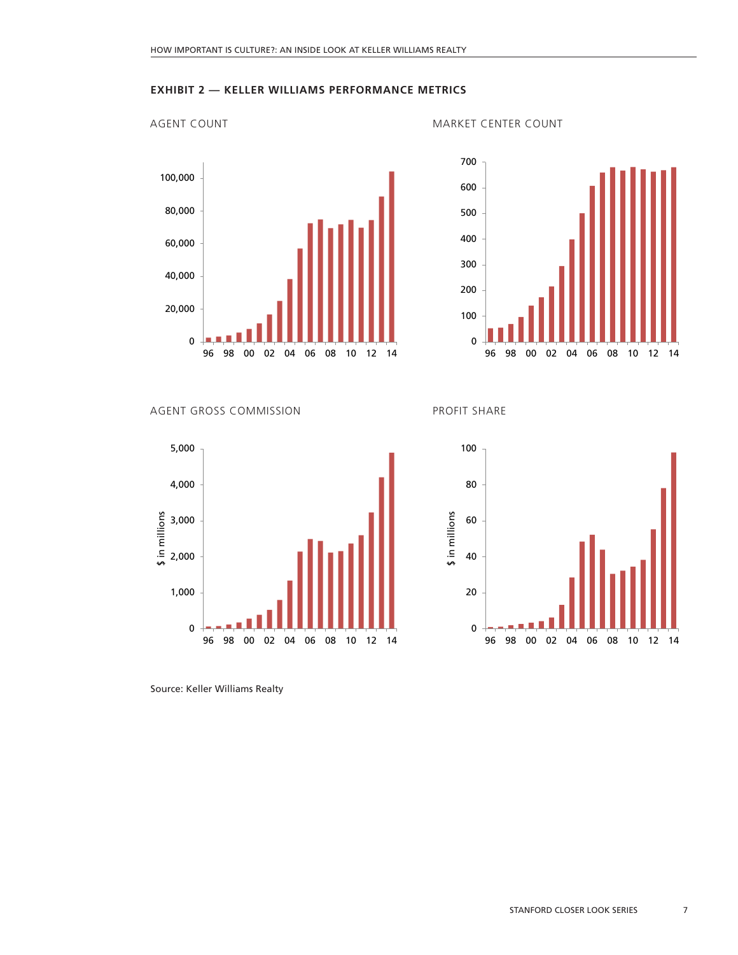#### **Exhibit 2 — Keller williams performance metrics**

#### AGENT COUNT AGENT COUNT





#### AGENT GROSS COMMISSION PROFIT SHARE



Source: Keller Williams Realty